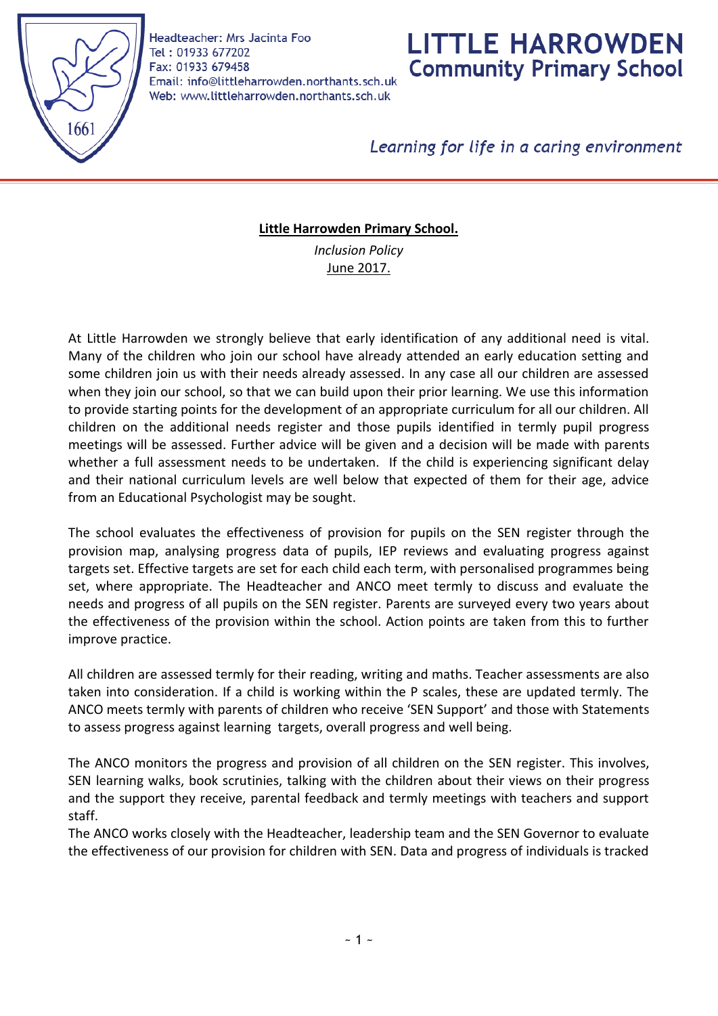

Headteacher: Mrs Jacinta Foo Tel: 01933 677202 Fax: 01933 679458 Email: info@littleharrowden.northants.sch.uk Web: www.littleharrowden.northants.sch.uk

# **LITTLE HARROWDEN Community Primary School**

Learning for life in a caring environment

#### **Little Harrowden Primary School.**

*Inclusion Policy*  June 2017.

At Little Harrowden we strongly believe that early identification of any additional need is vital. Many of the children who join our school have already attended an early education setting and some children join us with their needs already assessed. In any case all our children are assessed when they join our school, so that we can build upon their prior learning. We use this information to provide starting points for the development of an appropriate curriculum for all our children. All children on the additional needs register and those pupils identified in termly pupil progress meetings will be assessed. Further advice will be given and a decision will be made with parents whether a full assessment needs to be undertaken. If the child is experiencing significant delay and their national curriculum levels are well below that expected of them for their age, advice from an Educational Psychologist may be sought.

The school evaluates the effectiveness of provision for pupils on the SEN register through the provision map, analysing progress data of pupils, IEP reviews and evaluating progress against targets set. Effective targets are set for each child each term, with personalised programmes being set, where appropriate. The Headteacher and ANCO meet termly to discuss and evaluate the needs and progress of all pupils on the SEN register. Parents are surveyed every two years about the effectiveness of the provision within the school. Action points are taken from this to further improve practice.

All children are assessed termly for their reading, writing and maths. Teacher assessments are also taken into consideration. If a child is working within the P scales, these are updated termly. The ANCO meets termly with parents of children who receive 'SEN Support' and those with Statements to assess progress against learning targets, overall progress and well being.

The ANCO monitors the progress and provision of all children on the SEN register. This involves, SEN learning walks, book scrutinies, talking with the children about their views on their progress and the support they receive, parental feedback and termly meetings with teachers and support staff.

The ANCO works closely with the Headteacher, leadership team and the SEN Governor to evaluate the effectiveness of our provision for children with SEN. Data and progress of individuals is tracked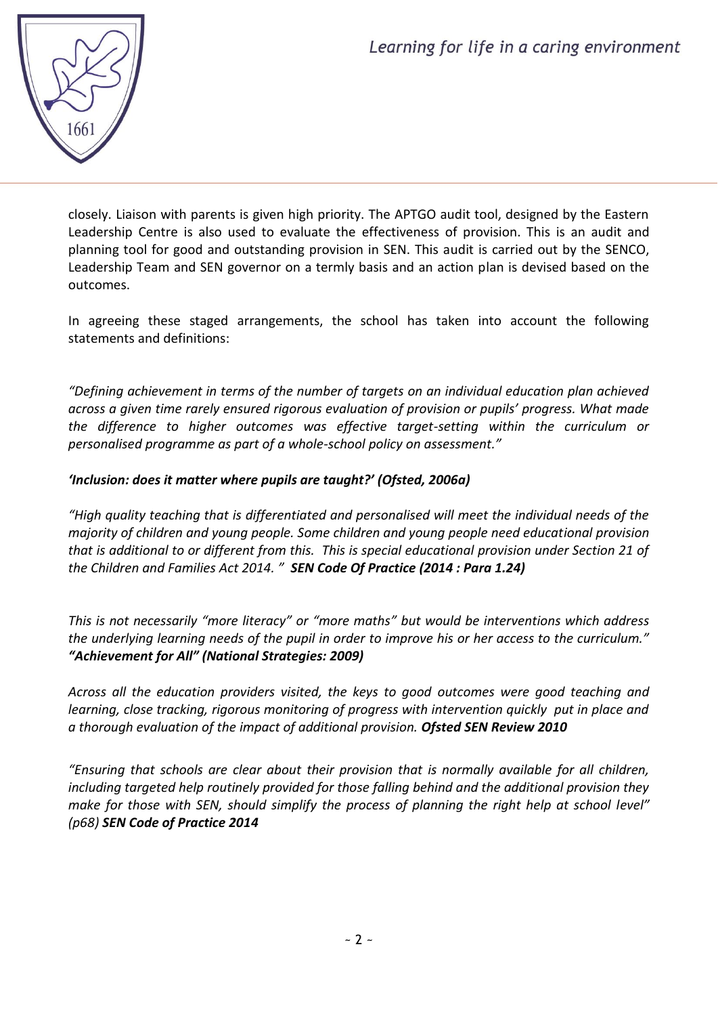

closely. Liaison with parents is given high priority. The APTGO audit tool, designed by the Eastern Leadership Centre is also used to evaluate the effectiveness of provision. This is an audit and planning tool for good and outstanding provision in SEN. This audit is carried out by the SENCO, Leadership Team and SEN governor on a termly basis and an action plan is devised based on the outcomes.

In agreeing these staged arrangements, the school has taken into account the following statements and definitions:

*"Defining achievement in terms of the number of targets on an individual education plan achieved across a given time rarely ensured rigorous evaluation of provision or pupils' progress. What made the difference to higher outcomes was effective target-setting within the curriculum or personalised programme as part of a whole-school policy on assessment."*

# *'Inclusion: does it matter where pupils are taught?' (Ofsted, 2006a)*

*"High quality teaching that is differentiated and personalised will meet the individual needs of the majority of children and young people. Some children and young people need educational provision that is additional to or different from this. This is special educational provision under Section 21 of the Children and Families Act 2014. " SEN Code Of Practice (2014 : Para 1.24)*

*This is not necessarily "more literacy" or "more maths" but would be interventions which address the underlying learning needs of the pupil in order to improve his or her access to the curriculum." "Achievement for All" (National Strategies: 2009)*

*Across all the education providers visited, the keys to good outcomes were good teaching and learning, close tracking, rigorous monitoring of progress with intervention quickly put in place and a thorough evaluation of the impact of additional provision. Ofsted SEN Review 2010*

*"Ensuring that schools are clear about their provision that is normally available for all children, including targeted help routinely provided for those falling behind and the additional provision they make for those with SEN, should simplify the process of planning the right help at school level" (p68) SEN Code of Practice 2014*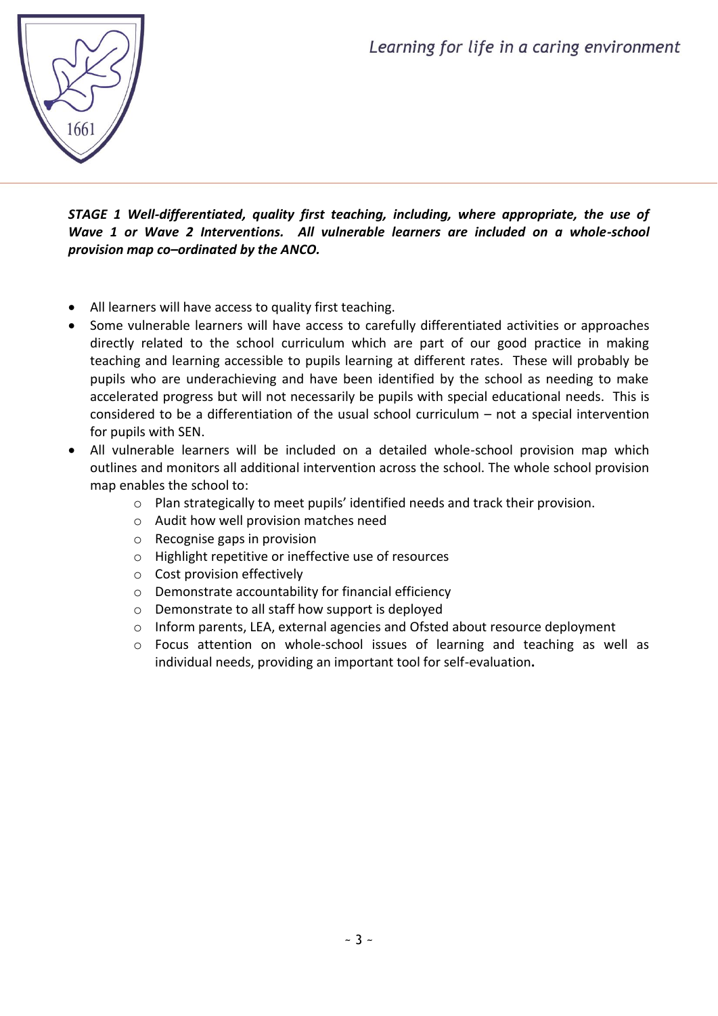

*STAGE 1 Well-differentiated, quality first teaching, including, where appropriate, the use of Wave 1 or Wave 2 Interventions. All vulnerable learners are included on a whole-school provision map co–ordinated by the ANCO.*

- All learners will have access to quality first teaching.
- Some vulnerable learners will have access to carefully differentiated activities or approaches directly related to the school curriculum which are part of our good practice in making teaching and learning accessible to pupils learning at different rates. These will probably be pupils who are underachieving and have been identified by the school as needing to make accelerated progress but will not necessarily be pupils with special educational needs. This is considered to be a differentiation of the usual school curriculum – not a special intervention for pupils with SEN.
- All vulnerable learners will be included on a detailed whole-school provision map which outlines and monitors all additional intervention across the school. The whole school provision map enables the school to:
	- o Plan strategically to meet pupils' identified needs and track their provision.
	- o Audit how well provision matches need
	- o Recognise gaps in provision
	- o Highlight repetitive or ineffective use of resources
	- o Cost provision effectively
	- o Demonstrate accountability for financial efficiency
	- o Demonstrate to all staff how support is deployed
	- o Inform parents, LEA, external agencies and Ofsted about resource deployment
	- o Focus attention on whole-school issues of learning and teaching as well as individual needs, providing an important tool for self-evaluation**.**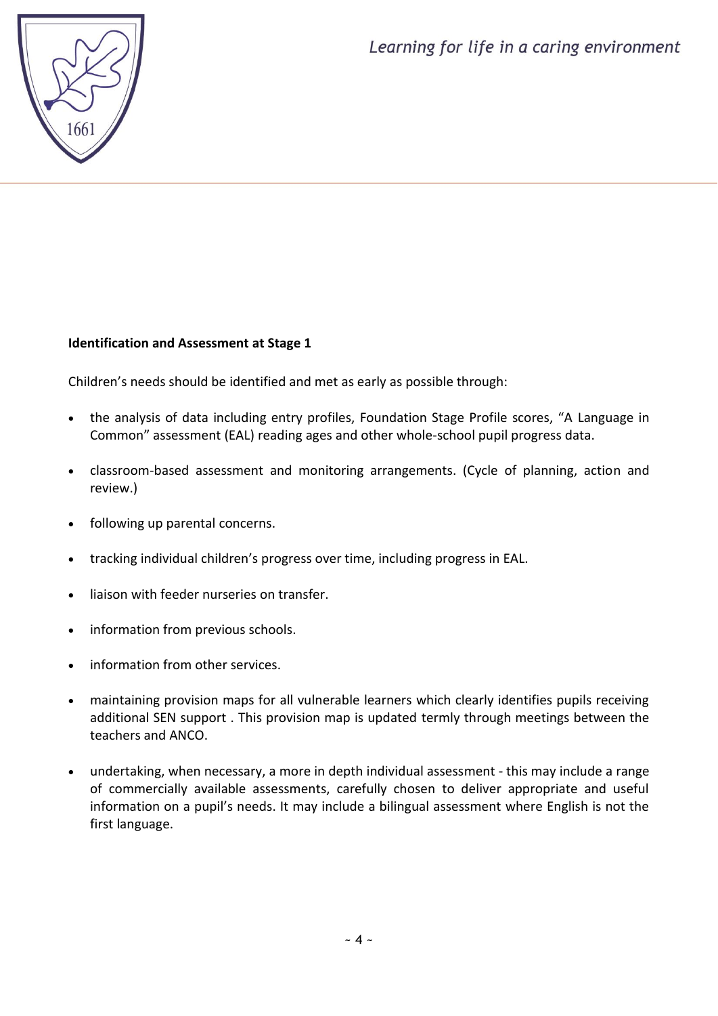

# **Identification and Assessment at Stage 1**

Children's needs should be identified and met as early as possible through:

- the analysis of data including entry profiles, Foundation Stage Profile scores, "A Language in Common" assessment (EAL) reading ages and other whole-school pupil progress data.
- classroom-based assessment and monitoring arrangements. (Cycle of planning, action and review.)
- following up parental concerns.
- tracking individual children's progress over time, including progress in EAL.
- liaison with feeder nurseries on transfer.
- information from previous schools.
- information from other services.
- maintaining provision maps for all vulnerable learners which clearly identifies pupils receiving additional SEN support . This provision map is updated termly through meetings between the teachers and ANCO.
- undertaking, when necessary, a more in depth individual assessment this may include a range of commercially available assessments, carefully chosen to deliver appropriate and useful information on a pupil's needs. It may include a bilingual assessment where English is not the first language.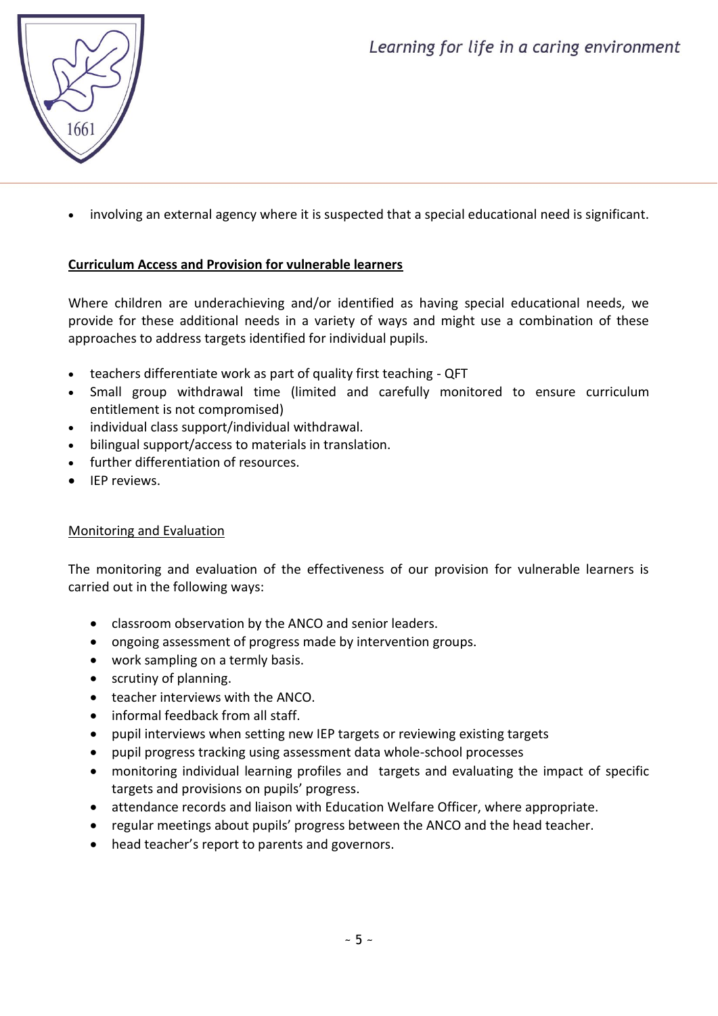

involving an external agency where it is suspected that a special educational need is significant.

# **Curriculum Access and Provision for vulnerable learners**

Where children are underachieving and/or identified as having special educational needs, we provide for these additional needs in a variety of ways and might use a combination of these approaches to address targets identified for individual pupils.

- teachers differentiate work as part of quality first teaching QFT
- Small group withdrawal time (limited and carefully monitored to ensure curriculum entitlement is not compromised)
- individual class support/individual withdrawal.
- bilingual support/access to materials in translation.
- further differentiation of resources.
- **•** IFP reviews.

#### Monitoring and Evaluation

The monitoring and evaluation of the effectiveness of our provision for vulnerable learners is carried out in the following ways:

- classroom observation by the ANCO and senior leaders.
- ongoing assessment of progress made by intervention groups.
- work sampling on a termly basis.
- scrutiny of planning.
- teacher interviews with the ANCO.
- informal feedback from all staff.
- pupil interviews when setting new IEP targets or reviewing existing targets
- pupil progress tracking using assessment data whole-school processes
- monitoring individual learning profiles and targets and evaluating the impact of specific targets and provisions on pupils' progress.
- attendance records and liaison with Education Welfare Officer, where appropriate.
- regular meetings about pupils' progress between the ANCO and the head teacher.
- head teacher's report to parents and governors.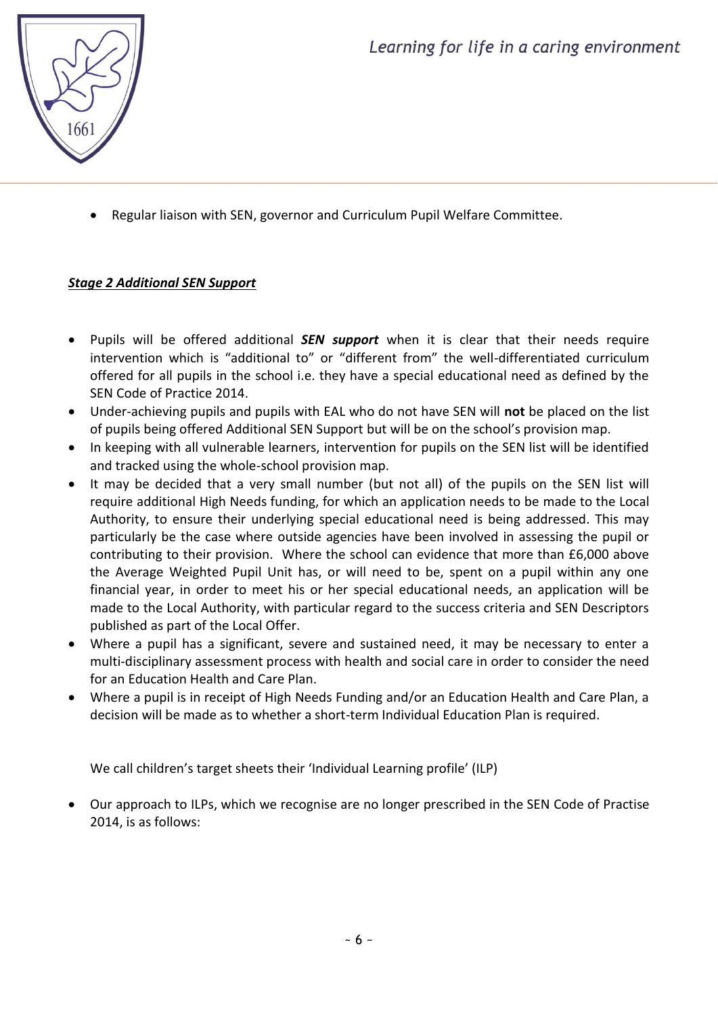

Regular liaison with SEN, governor and Curriculum Pupil Welfare Committee.

# *Stage 2 Additional SEN Support*

- Pupils will be offered additional *SEN support* when it is clear that their needs require intervention which is "additional to" or "different from" the well-differentiated curriculum offered for all pupils in the school i.e. they have a special educational need as defined by the SEN Code of Practice 2014.
- Under-achieving pupils and pupils with EAL who do not have SEN will **not** be placed on the list of pupils being offered Additional SEN Support but will be on the school's provision map.
- In keeping with all vulnerable learners, intervention for pupils on the SEN list will be identified and tracked using the whole-school provision map.
- It may be decided that a very small number (but not all) of the pupils on the SEN list will require additional High Needs funding, for which an application needs to be made to the Local Authority, to ensure their underlying special educational need is being addressed. This may particularly be the case where outside agencies have been involved in assessing the pupil or contributing to their provision. Where the school can evidence that more than £6,000 above the Average Weighted Pupil Unit has, or will need to be, spent on a pupil within any one financial year, in order to meet his or her special educational needs, an application will be made to the Local Authority, with particular regard to the success criteria and SEN Descriptors published as part of the Local Offer.
- Where a pupil has a significant, severe and sustained need, it may be necessary to enter a multi-disciplinary assessment process with health and social care in order to consider the need for an Education Health and Care Plan.
- Where a pupil is in receipt of High Needs Funding and/or an Education Health and Care Plan, a decision will be made as to whether a short-term Individual Education Plan is required.

We call children's target sheets their 'Individual Learning profile' (ILP)

 Our approach to ILPs, which we recognise are no longer prescribed in the SEN Code of Practise 2014, is as follows: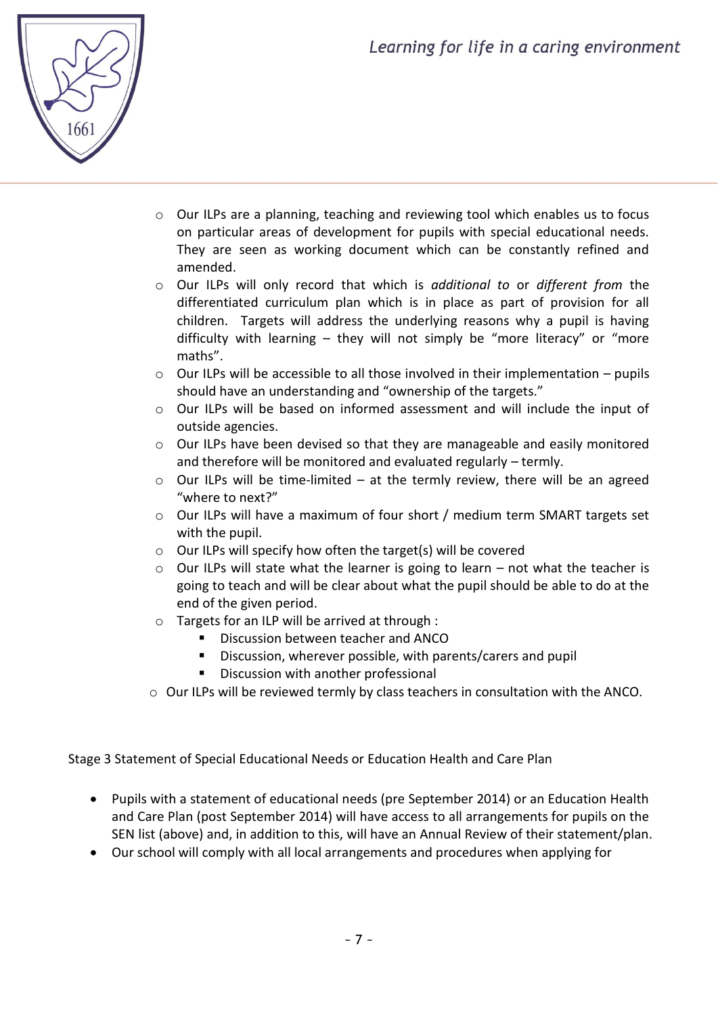

- o Our ILPs are a planning, teaching and reviewing tool which enables us to focus on particular areas of development for pupils with special educational needs. They are seen as working document which can be constantly refined and amended.
- o Our ILPs will only record that which is *additional to* or *different from* the differentiated curriculum plan which is in place as part of provision for all children. Targets will address the underlying reasons why a pupil is having difficulty with learning – they will not simply be "more literacy" or "more maths".
- $\circ$  Our ILPs will be accessible to all those involved in their implementation pupils should have an understanding and "ownership of the targets."
- o Our ILPs will be based on informed assessment and will include the input of outside agencies.
- o Our ILPs have been devised so that they are manageable and easily monitored and therefore will be monitored and evaluated regularly – termly.
- o Our ILPs will be time-limited at the termly review, there will be an agreed "where to next?"
- o Our ILPs will have a maximum of four short / medium term SMART targets set with the pupil.
- o Our ILPs will specify how often the target(s) will be covered
- $\circ$  Our ILPs will state what the learner is going to learn not what the teacher is going to teach and will be clear about what the pupil should be able to do at the end of the given period.
- o Targets for an ILP will be arrived at through :
	- **Discussion between teacher and ANCO**
	- Discussion, wherever possible, with parents/carers and pupil
	- **Discussion with another professional**
- o Our ILPs will be reviewed termly by class teachers in consultation with the ANCO.

Stage 3 Statement of Special Educational Needs or Education Health and Care Plan

- Pupils with a statement of educational needs (pre September 2014) or an Education Health and Care Plan (post September 2014) will have access to all arrangements for pupils on the SEN list (above) and, in addition to this, will have an Annual Review of their statement/plan.
- Our school will comply with all local arrangements and procedures when applying for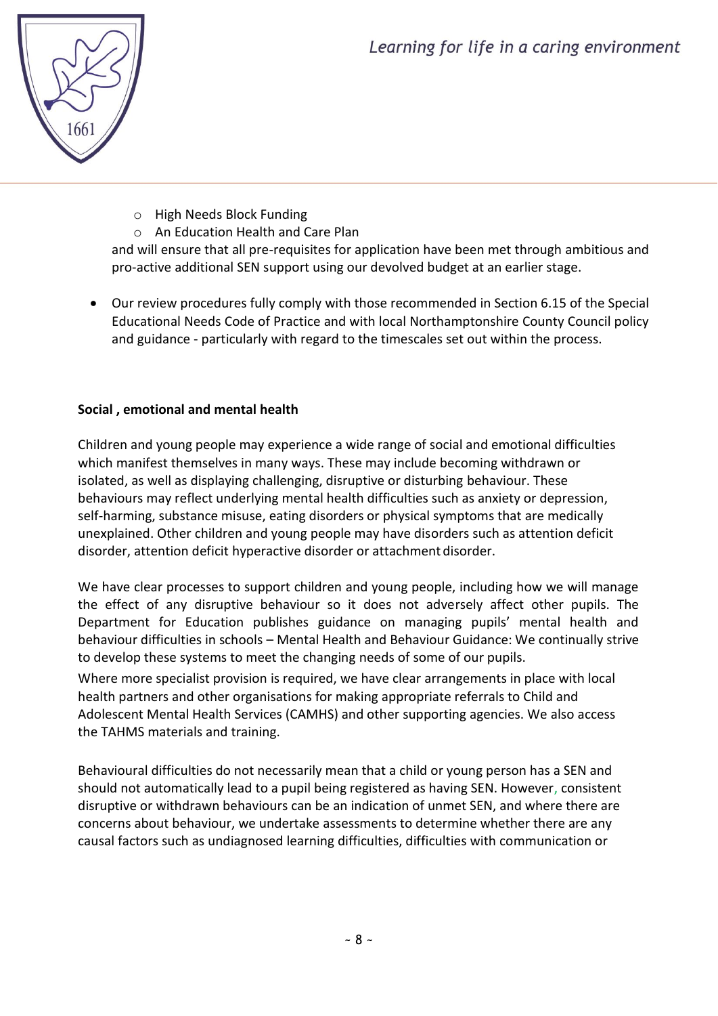

- o High Needs Block Funding
- o An Education Health and Care Plan

and will ensure that all pre-requisites for application have been met through ambitious and pro-active additional SEN support using our devolved budget at an earlier stage.

 Our review procedures fully comply with those recommended in Section 6.15 of the Special Educational Needs Code of Practice and with local Northamptonshire County Council policy and guidance - particularly with regard to the timescales set out within the process.

# **Social , emotional and mental health**

Children and young people may experience a wide range of social and emotional difficulties which manifest themselves in many ways. These may include becoming withdrawn or isolated, as well as displaying challenging, disruptive or disturbing behaviour. These behaviours may reflect underlying mental health difficulties such as anxiety or depression, self-harming, substance misuse, eating disorders or physical symptoms that are medically unexplained. Other children and young people may have disorders such as attention deficit disorder, attention deficit hyperactive disorder or attachment disorder.

We have clear processes to support children and young people, including how we will manage the effect of any disruptive behaviour so it does not adversely affect other pupils. The Department for Education publishes guidance on managing pupils' mental health and behaviour difficulties in schools – Mental Health and Behaviour Guidance: We continually strive to develop these systems to meet the changing needs of some of our pupils.

Where more specialist provision is required, we have clear arrangements in place with local health partners and other organisations for making appropriate referrals to Child and Adolescent Mental Health Services (CAMHS) and other supporting agencies. We also access the TAHMS materials and training.

Behavioural difficulties do not necessarily mean that a child or young person has a SEN and should not automatically lead to a pupil being registered as having SEN. However, consistent disruptive or withdrawn behaviours can be an indication of unmet SEN, and where there are concerns about behaviour, we undertake assessments to determine whether there are any causal factors such as undiagnosed learning difficulties, difficulties with communication or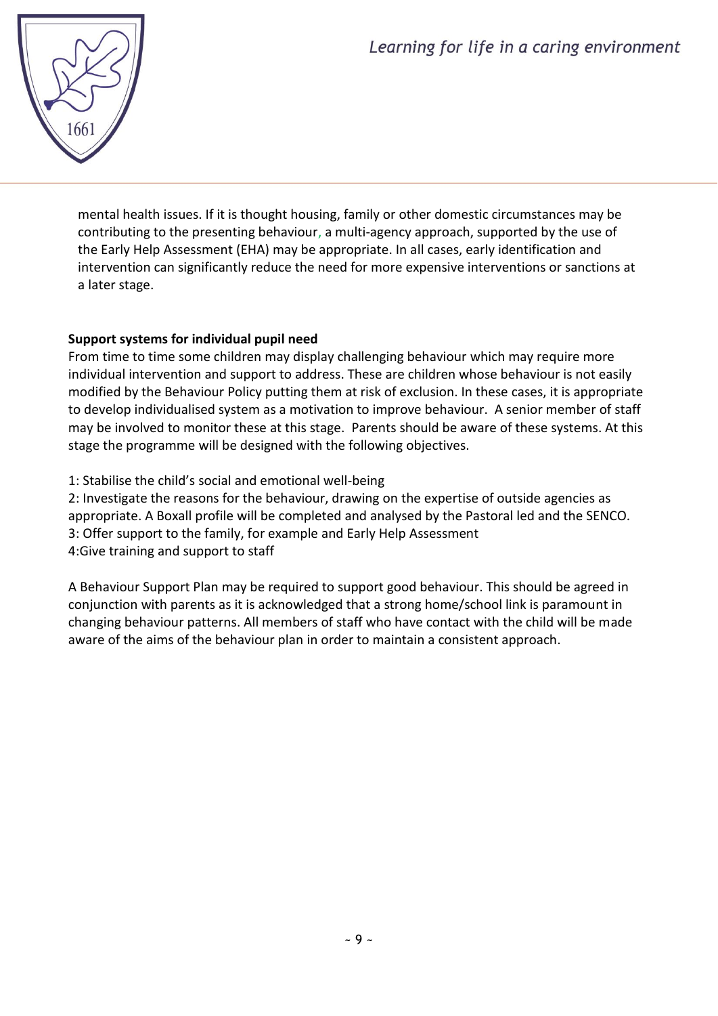

mental health issues. If it is thought housing, family or other domestic circumstances may be contributing to the presenting behaviour, a multi-agency approach, supported by the use of the Early Help Assessment (EHA) may be appropriate. In all cases, early identification and intervention can significantly reduce the need for more expensive interventions or sanctions at a later stage.

# **Support systems for individual pupil need**

From time to time some children may display challenging behaviour which may require more individual intervention and support to address. These are children whose behaviour is not easily modified by the Behaviour Policy putting them at risk of exclusion. In these cases, it is appropriate to develop individualised system as a motivation to improve behaviour. A senior member of staff may be involved to monitor these at this stage. Parents should be aware of these systems. At this stage the programme will be designed with the following objectives.

1: Stabilise the child's social and emotional well-being

2: Investigate the reasons for the behaviour, drawing on the expertise of outside agencies as appropriate. A Boxall profile will be completed and analysed by the Pastoral led and the SENCO. 3: Offer support to the family, for example and Early Help Assessment 4:Give training and support to staff

A Behaviour Support Plan may be required to support good behaviour. This should be agreed in conjunction with parents as it is acknowledged that a strong home/school link is paramount in changing behaviour patterns. All members of staff who have contact with the child will be made aware of the aims of the behaviour plan in order to maintain a consistent approach.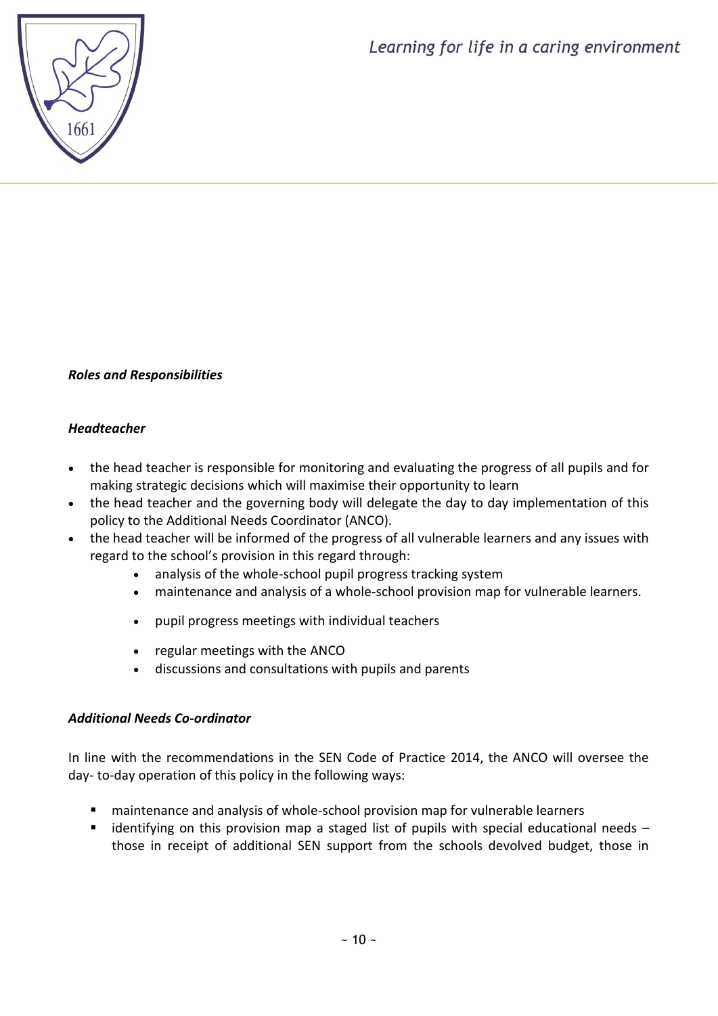# *Roles and Responsibilities*

# *Headteacher*

- the head teacher is responsible for monitoring and evaluating the progress of all pupils and for making strategic decisions which will maximise their opportunity to learn
- the head teacher and the governing body will delegate the day to day implementation of this policy to the Additional Needs Coordinator (ANCO).
- the head teacher will be informed of the progress of all vulnerable learners and any issues with regard to the school's provision in this regard through:
	- analysis of the whole-school pupil progress tracking system
	- maintenance and analysis of a whole-school provision map for vulnerable learners.
	- pupil progress meetings with individual teachers
	- regular meetings with the ANCO
	- discussions and consultations with pupils and parents

# *Additional Needs Co-ordinator*

In line with the recommendations in the SEN Code of Practice 2014, the ANCO will oversee the day- to-day operation of this policy in the following ways:

- maintenance and analysis of whole-school provision map for vulnerable learners
- $\blacksquare$  identifying on this provision map a staged list of pupils with special educational needs those in receipt of additional SEN support from the schools devolved budget, those in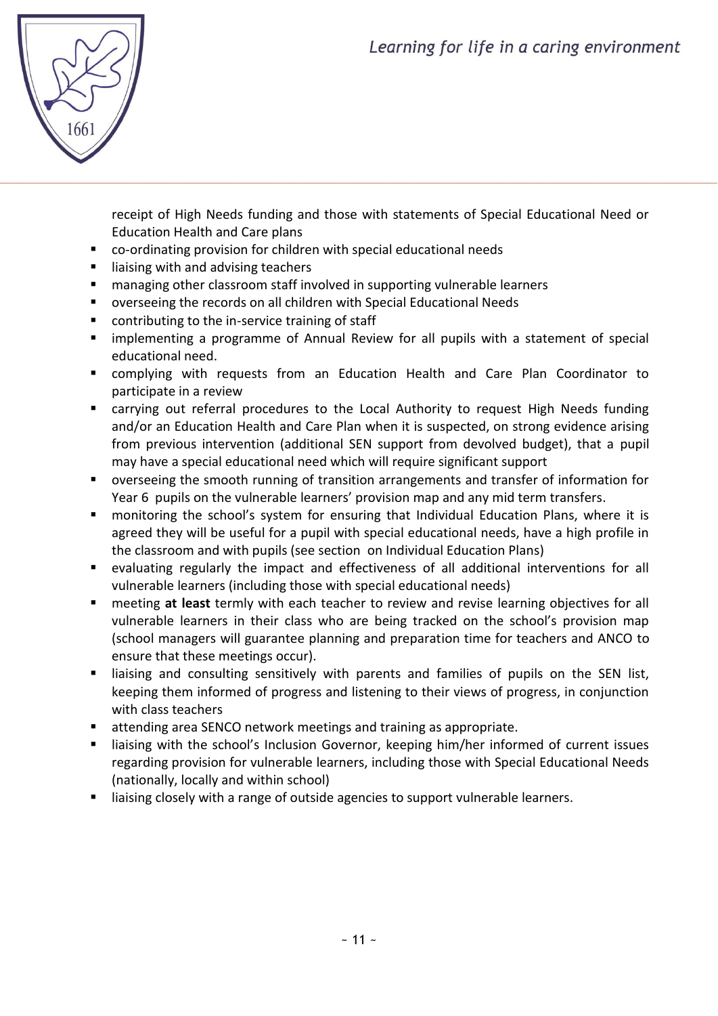

receipt of High Needs funding and those with statements of Special Educational Need or Education Health and Care plans

- co-ordinating provision for children with special educational needs
- $\blacksquare$  liaising with and advising teachers
- **E** managing other classroom staff involved in supporting vulnerable learners
- overseeing the records on all children with Special Educational Needs
- contributing to the in-service training of staff
- implementing a programme of Annual Review for all pupils with a statement of special educational need.
- complying with requests from an Education Health and Care Plan Coordinator to participate in a review
- carrying out referral procedures to the Local Authority to request High Needs funding and/or an Education Health and Care Plan when it is suspected, on strong evidence arising from previous intervention (additional SEN support from devolved budget), that a pupil may have a special educational need which will require significant support
- overseeing the smooth running of transition arrangements and transfer of information for Year 6 pupils on the vulnerable learners' provision map and any mid term transfers.
- monitoring the school's system for ensuring that Individual Education Plans, where it is agreed they will be useful for a pupil with special educational needs, have a high profile in the classroom and with pupils (see section on Individual Education Plans)
- evaluating regularly the impact and effectiveness of all additional interventions for all vulnerable learners (including those with special educational needs)
- meeting **at least** termly with each teacher to review and revise learning objectives for all vulnerable learners in their class who are being tracked on the school's provision map (school managers will guarantee planning and preparation time for teachers and ANCO to ensure that these meetings occur).
- **I** liaising and consulting sensitively with parents and families of pupils on the SEN list, keeping them informed of progress and listening to their views of progress, in conjunction with class teachers
- attending area SENCO network meetings and training as appropriate.
- **I** liaising with the school's Inclusion Governor, keeping him/her informed of current issues regarding provision for vulnerable learners, including those with Special Educational Needs (nationally, locally and within school)
- **I** liaising closely with a range of outside agencies to support vulnerable learners.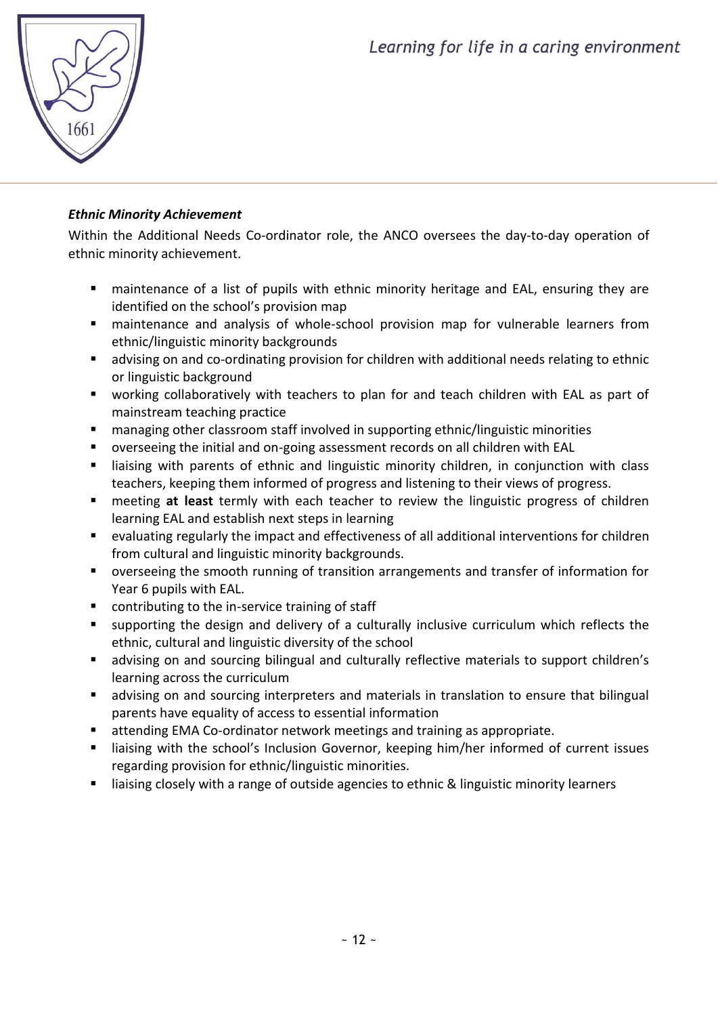

# *Ethnic Minority Achievement*

Within the Additional Needs Co-ordinator role, the ANCO oversees the day-to-day operation of ethnic minority achievement.

- maintenance of a list of pupils with ethnic minority heritage and EAL, ensuring they are identified on the school's provision map
- maintenance and analysis of whole-school provision map for vulnerable learners from ethnic/linguistic minority backgrounds
- advising on and co-ordinating provision for children with additional needs relating to ethnic or linguistic background
- working collaboratively with teachers to plan for and teach children with EAL as part of mainstream teaching practice
- managing other classroom staff involved in supporting ethnic/linguistic minorities
- overseeing the initial and on-going assessment records on all children with EAL
- **EXT** liaising with parents of ethnic and linguistic minority children, in conjunction with class teachers, keeping them informed of progress and listening to their views of progress.
- meeting **at least** termly with each teacher to review the linguistic progress of children learning EAL and establish next steps in learning
- evaluating regularly the impact and effectiveness of all additional interventions for children from cultural and linguistic minority backgrounds.
- overseeing the smooth running of transition arrangements and transfer of information for Year 6 pupils with EAL.
- contributing to the in-service training of staff
- supporting the design and delivery of a culturally inclusive curriculum which reflects the ethnic, cultural and linguistic diversity of the school
- advising on and sourcing bilingual and culturally reflective materials to support children's learning across the curriculum
- advising on and sourcing interpreters and materials in translation to ensure that bilingual parents have equality of access to essential information
- attending EMA Co-ordinator network meetings and training as appropriate.
- **EXT** liaising with the school's Inclusion Governor, keeping him/her informed of current issues regarding provision for ethnic/linguistic minorities.
- liaising closely with a range of outside agencies to ethnic & linguistic minority learners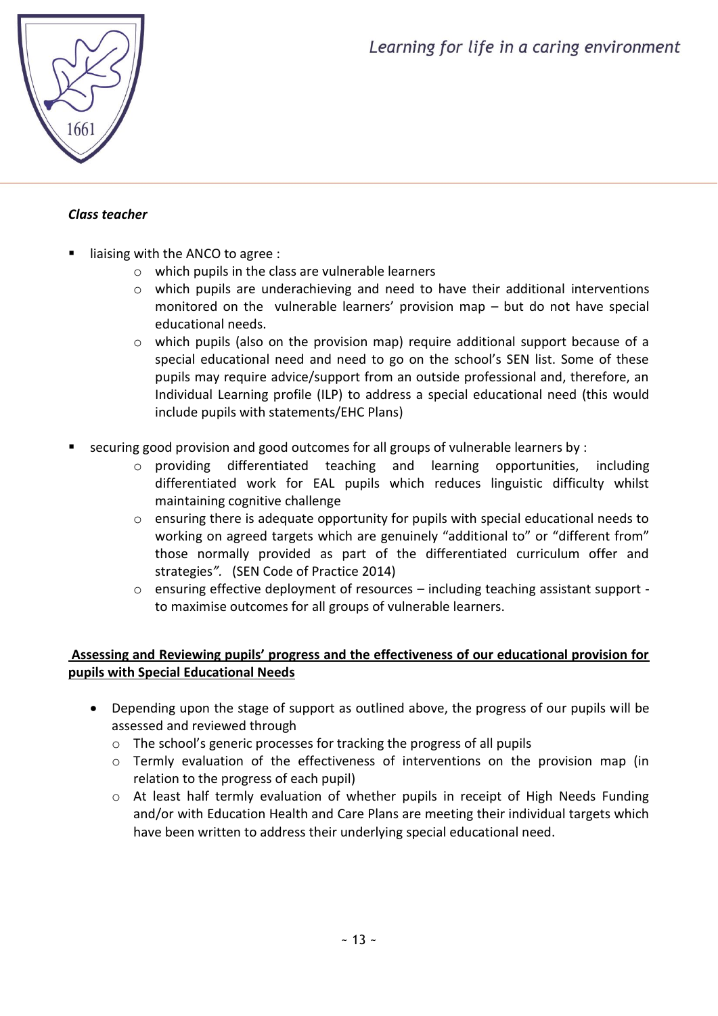

# *Class teacher*

- liaising with the ANCO to agree :
	- o which pupils in the class are vulnerable learners
	- o which pupils are underachieving and need to have their additional interventions monitored on the vulnerable learners' provision map – but do not have special educational needs.
	- o which pupils (also on the provision map) require additional support because of a special educational need and need to go on the school's SEN list. Some of these pupils may require advice/support from an outside professional and, therefore, an Individual Learning profile (ILP) to address a special educational need (this would include pupils with statements/EHC Plans)
- securing good provision and good outcomes for all groups of vulnerable learners by :
	- o providing differentiated teaching and learning opportunities, including differentiated work for EAL pupils which reduces linguistic difficulty whilst maintaining cognitive challenge
	- o ensuring there is adequate opportunity for pupils with special educational needs to working on agreed targets which are genuinely "additional to" or "different from" those normally provided as part of the differentiated curriculum offer and strategies*".* (SEN Code of Practice 2014)
	- $\circ$  ensuring effective deployment of resources including teaching assistant support to maximise outcomes for all groups of vulnerable learners.

# **Assessing and Reviewing pupils' progress and the effectiveness of our educational provision for pupils with Special Educational Needs**

- Depending upon the stage of support as outlined above, the progress of our pupils will be assessed and reviewed through
	- o The school's generic processes for tracking the progress of all pupils
	- o Termly evaluation of the effectiveness of interventions on the provision map (in relation to the progress of each pupil)
	- o At least half termly evaluation of whether pupils in receipt of High Needs Funding and/or with Education Health and Care Plans are meeting their individual targets which have been written to address their underlying special educational need.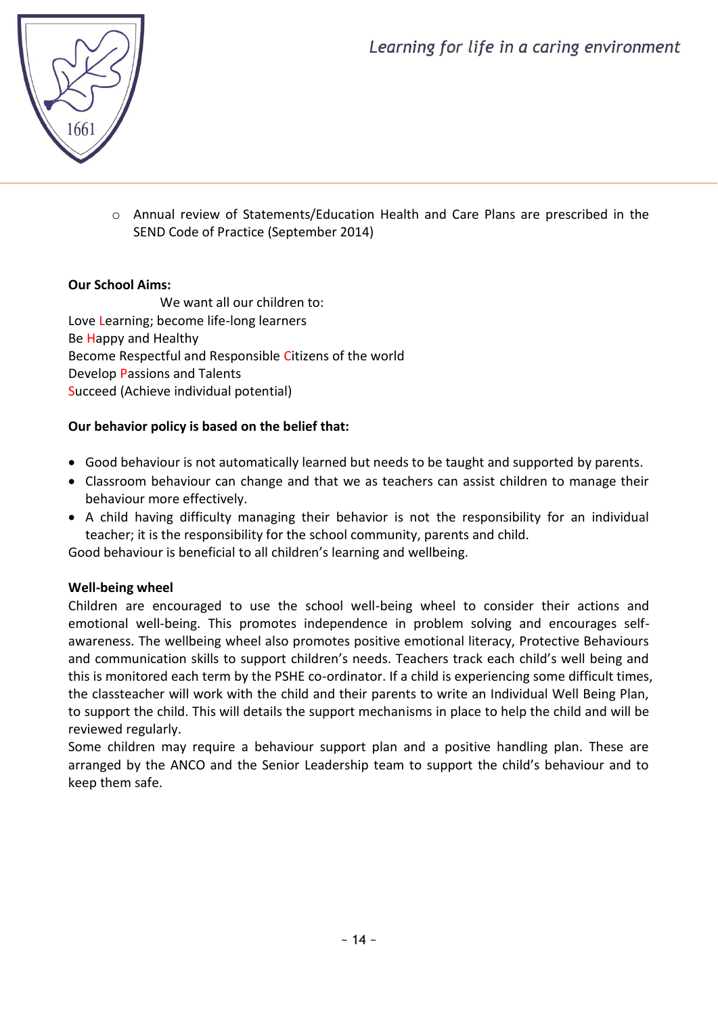

o Annual review of Statements/Education Health and Care Plans are prescribed in the SEND Code of Practice (September 2014)

# **Our School Aims:**

We want all our children to: Love Learning; become life-long learners Be Happy and Healthy Become Respectful and Responsible Citizens of the world Develop Passions and Talents Succeed (Achieve individual potential)

# **Our behavior policy is based on the belief that:**

- Good behaviour is not automatically learned but needs to be taught and supported by parents.
- Classroom behaviour can change and that we as teachers can assist children to manage their behaviour more effectively.
- A child having difficulty managing their behavior is not the responsibility for an individual teacher; it is the responsibility for the school community, parents and child.

Good behaviour is beneficial to all children's learning and wellbeing.

#### **Well-being wheel**

Children are encouraged to use the school well-being wheel to consider their actions and emotional well-being. This promotes independence in problem solving and encourages selfawareness. The wellbeing wheel also promotes positive emotional literacy, Protective Behaviours and communication skills to support children's needs. Teachers track each child's well being and this is monitored each term by the PSHE co-ordinator. If a child is experiencing some difficult times, the classteacher will work with the child and their parents to write an Individual Well Being Plan, to support the child. This will details the support mechanisms in place to help the child and will be reviewed regularly.

Some children may require a behaviour support plan and a positive handling plan. These are arranged by the ANCO and the Senior Leadership team to support the child's behaviour and to keep them safe.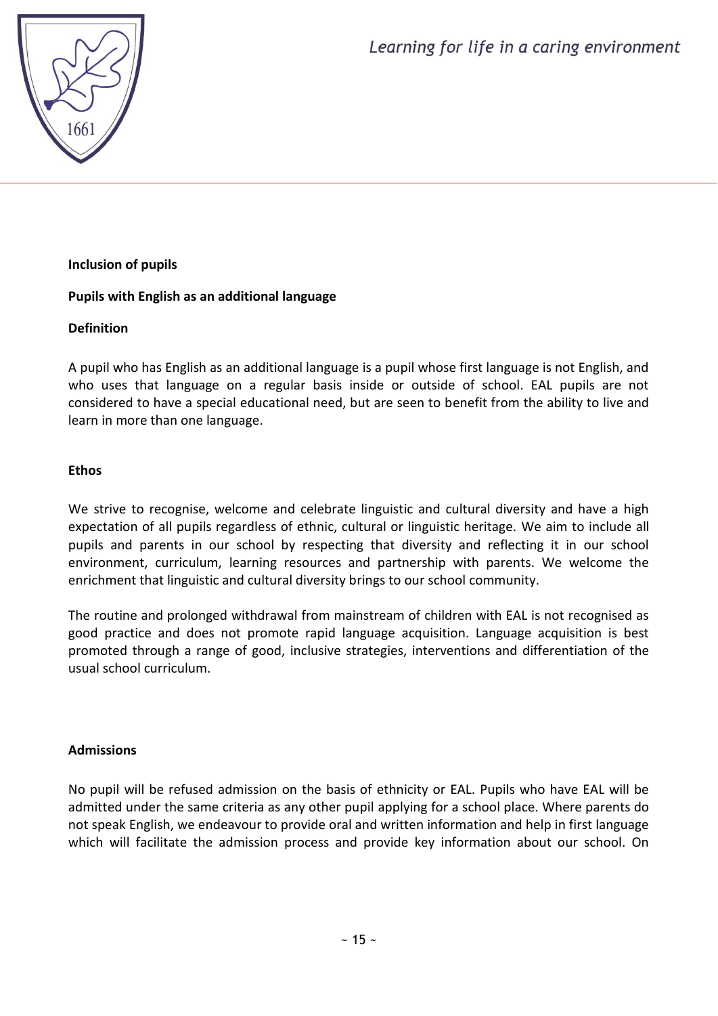

# **Inclusion of pupils**

# **Pupils with English as an additional language**

#### **Definition**

A pupil who has English as an additional language is a pupil whose first language is not English, and who uses that language on a regular basis inside or outside of school. EAL pupils are not considered to have a special educational need, but are seen to benefit from the ability to live and learn in more than one language.

# **Ethos**

We strive to recognise, welcome and celebrate linguistic and cultural diversity and have a high expectation of all pupils regardless of ethnic, cultural or linguistic heritage. We aim to include all pupils and parents in our school by respecting that diversity and reflecting it in our school environment, curriculum, learning resources and partnership with parents. We welcome the enrichment that linguistic and cultural diversity brings to our school community.

The routine and prolonged withdrawal from mainstream of children with EAL is not recognised as good practice and does not promote rapid language acquisition. Language acquisition is best promoted through a range of good, inclusive strategies, interventions and differentiation of the usual school curriculum.

#### **Admissions**

No pupil will be refused admission on the basis of ethnicity or EAL. Pupils who have EAL will be admitted under the same criteria as any other pupil applying for a school place. Where parents do not speak English, we endeavour to provide oral and written information and help in first language which will facilitate the admission process and provide key information about our school. On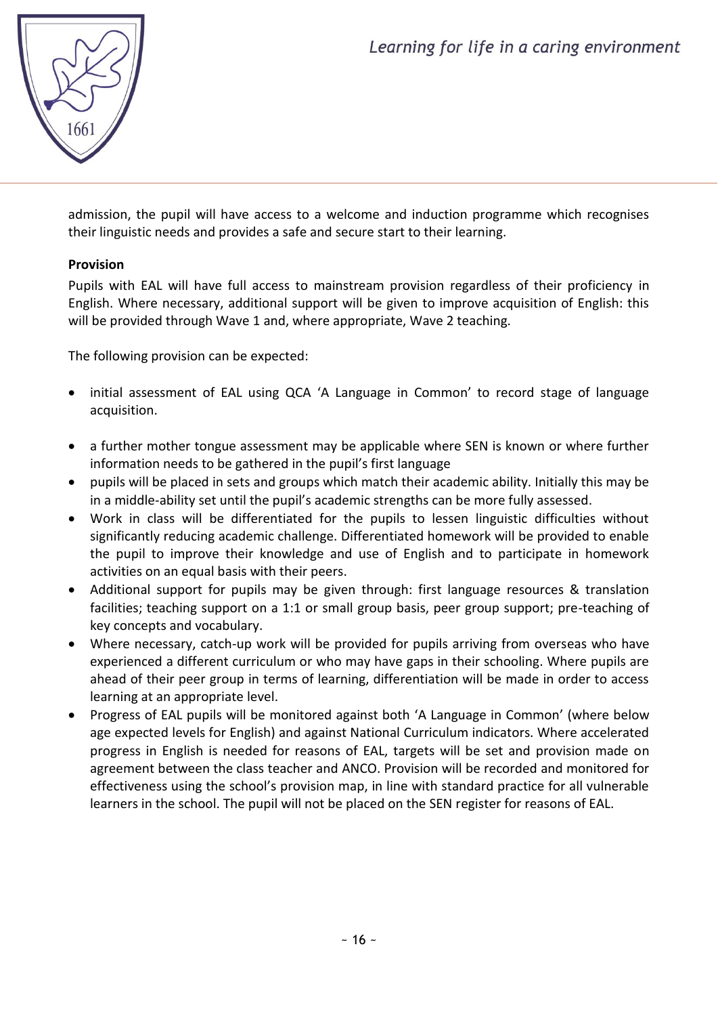

admission, the pupil will have access to a welcome and induction programme which recognises their linguistic needs and provides a safe and secure start to their learning.

# **Provision**

Pupils with EAL will have full access to mainstream provision regardless of their proficiency in English. Where necessary, additional support will be given to improve acquisition of English: this will be provided through Wave 1 and, where appropriate, Wave 2 teaching.

The following provision can be expected:

- initial assessment of EAL using QCA 'A Language in Common' to record stage of language acquisition.
- a further mother tongue assessment may be applicable where SEN is known or where further information needs to be gathered in the pupil's first language
- pupils will be placed in sets and groups which match their academic ability. Initially this may be in a middle-ability set until the pupil's academic strengths can be more fully assessed.
- Work in class will be differentiated for the pupils to lessen linguistic difficulties without significantly reducing academic challenge. Differentiated homework will be provided to enable the pupil to improve their knowledge and use of English and to participate in homework activities on an equal basis with their peers.
- Additional support for pupils may be given through: first language resources & translation facilities; teaching support on a 1:1 or small group basis, peer group support; pre-teaching of key concepts and vocabulary.
- Where necessary, catch-up work will be provided for pupils arriving from overseas who have experienced a different curriculum or who may have gaps in their schooling. Where pupils are ahead of their peer group in terms of learning, differentiation will be made in order to access learning at an appropriate level.
- Progress of EAL pupils will be monitored against both 'A Language in Common' (where below age expected levels for English) and against National Curriculum indicators. Where accelerated progress in English is needed for reasons of EAL, targets will be set and provision made on agreement between the class teacher and ANCO. Provision will be recorded and monitored for effectiveness using the school's provision map, in line with standard practice for all vulnerable learners in the school. The pupil will not be placed on the SEN register for reasons of EAL.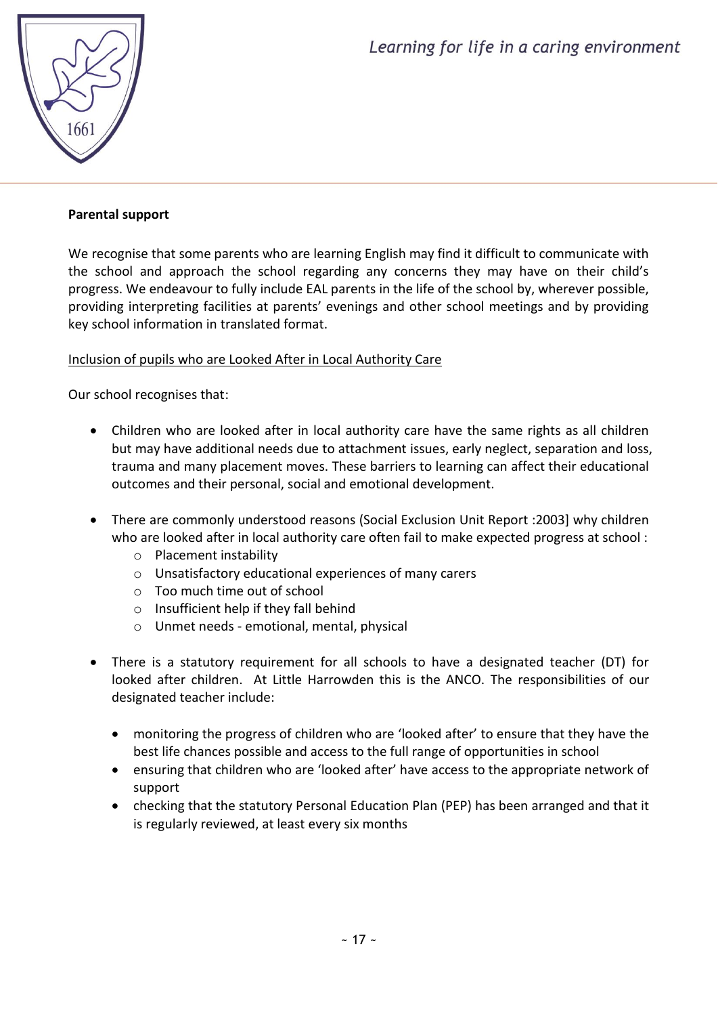

#### **Parental support**

We recognise that some parents who are learning English may find it difficult to communicate with the school and approach the school regarding any concerns they may have on their child's progress. We endeavour to fully include EAL parents in the life of the school by, wherever possible, providing interpreting facilities at parents' evenings and other school meetings and by providing key school information in translated format.

#### Inclusion of pupils who are Looked After in Local Authority Care

Our school recognises that:

- Children who are looked after in local authority care have the same rights as all children but may have additional needs due to attachment issues, early neglect, separation and loss, trauma and many placement moves. These barriers to learning can affect their educational outcomes and their personal, social and emotional development.
- There are commonly understood reasons (Social Exclusion Unit Report :2003] why children who are looked after in local authority care often fail to make expected progress at school :
	- o Placement instability
	- o Unsatisfactory educational experiences of many carers
	- o Too much time out of school
	- o Insufficient help if they fall behind
	- o Unmet needs emotional, mental, physical
- There is a statutory requirement for all schools to have a designated teacher (DT) for looked after children. At Little Harrowden this is the ANCO. The responsibilities of our designated teacher include:
	- monitoring the progress of children who are 'looked after' to ensure that they have the best life chances possible and access to the full range of opportunities in school
	- ensuring that children who are 'looked after' have access to the appropriate network of support
	- checking that the statutory Personal Education Plan (PEP) has been arranged and that it is regularly reviewed, at least every six months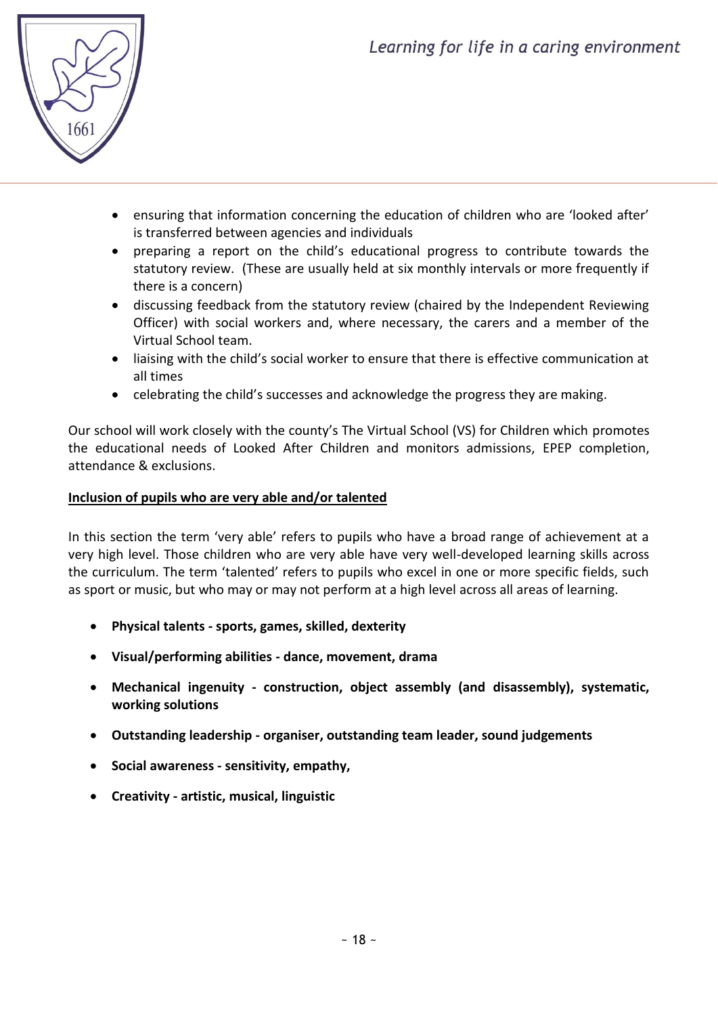

- ensuring that information concerning the education of children who are 'looked after' is transferred between agencies and individuals
- preparing a report on the child's educational progress to contribute towards the statutory review. (These are usually held at six monthly intervals or more frequently if there is a concern)
- discussing feedback from the statutory review (chaired by the Independent Reviewing Officer) with social workers and, where necessary, the carers and a member of the Virtual School team.
- liaising with the child's social worker to ensure that there is effective communication at all times
- celebrating the child's successes and acknowledge the progress they are making.

Our school will work closely with the county's The Virtual School (VS) for Children which promotes the educational needs of Looked After Children and monitors admissions, EPEP completion, attendance & exclusions.

#### **Inclusion of pupils who are very able and/or talented**

In this section the term 'very able' refers to pupils who have a broad range of achievement at a very high level. Those children who are very able have very well-developed learning skills across the curriculum. The term 'talented' refers to pupils who excel in one or more specific fields, such as sport or music, but who may or may not perform at a high level across all areas of learning.

- **Physical talents - sports, games, skilled, dexterity**
- **Visual/performing abilities - dance, movement, drama**
- **Mechanical ingenuity - construction, object assembly (and disassembly), systematic, working solutions**
- **Outstanding leadership - organiser, outstanding team leader, sound judgements**
- **Social awareness - sensitivity, empathy,**
- **Creativity - artistic, musical, linguistic**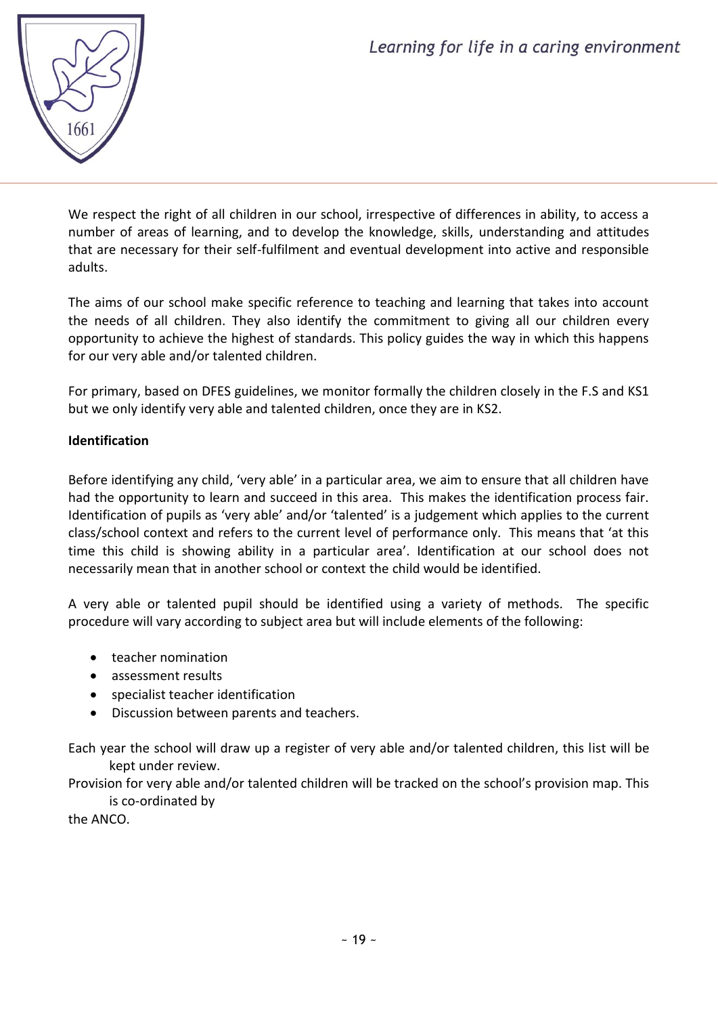

We respect the right of all children in our school, irrespective of differences in ability, to access a number of areas of learning, and to develop the knowledge, skills, understanding and attitudes that are necessary for their self-fulfilment and eventual development into active and responsible adults.

The aims of our school make specific reference to teaching and learning that takes into account the needs of all children. They also identify the commitment to giving all our children every opportunity to achieve the highest of standards. This policy guides the way in which this happens for our very able and/or talented children.

For primary, based on DFES guidelines, we monitor formally the children closely in the F.S and KS1 but we only identify very able and talented children, once they are in KS2.

# **Identification**

Before identifying any child, 'very able' in a particular area, we aim to ensure that all children have had the opportunity to learn and succeed in this area. This makes the identification process fair. Identification of pupils as 'very able' and/or 'talented' is a judgement which applies to the current class/school context and refers to the current level of performance only. This means that 'at this time this child is showing ability in a particular area'. Identification at our school does not necessarily mean that in another school or context the child would be identified.

A very able or talented pupil should be identified using a variety of methods. The specific procedure will vary according to subject area but will include elements of the following:

- teacher nomination
- assessment results
- specialist teacher identification
- Discussion between parents and teachers.

Each year the school will draw up a register of very able and/or talented children, this list will be kept under review.

Provision for very able and/or talented children will be tracked on the school's provision map. This is co-ordinated by

the ANCO.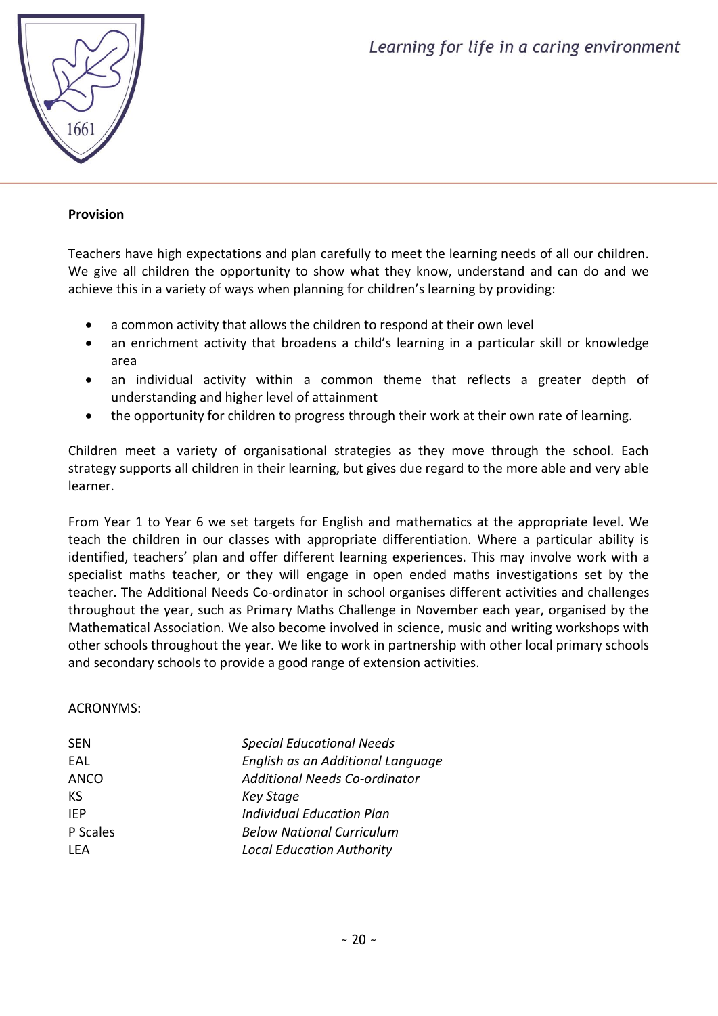

#### **Provision**

Teachers have high expectations and plan carefully to meet the learning needs of all our children. We give all children the opportunity to show what they know, understand and can do and we achieve this in a variety of ways when planning for children's learning by providing:

- a common activity that allows the children to respond at their own level
- an enrichment activity that broadens a child's learning in a particular skill or knowledge area
- an individual activity within a common theme that reflects a greater depth of understanding and higher level of attainment
- the opportunity for children to progress through their work at their own rate of learning.

Children meet a variety of organisational strategies as they move through the school. Each strategy supports all children in their learning, but gives due regard to the more able and very able learner.

From Year 1 to Year 6 we set targets for English and mathematics at the appropriate level. We teach the children in our classes with appropriate differentiation. Where a particular ability is identified, teachers' plan and offer different learning experiences. This may involve work with a specialist maths teacher, or they will engage in open ended maths investigations set by the teacher. The Additional Needs Co-ordinator in school organises different activities and challenges throughout the year, such as Primary Maths Challenge in November each year, organised by the Mathematical Association. We also become involved in science, music and writing workshops with other schools throughout the year. We like to work in partnership with other local primary schools and secondary schools to provide a good range of extension activities.

#### ACRONYMS:

| <b>SEN</b> | <b>Special Educational Needs</b>  |
|------------|-----------------------------------|
| EAL        | English as an Additional Language |
| ANCO       | Additional Needs Co-ordinator     |
| KS         | <b>Key Stage</b>                  |
| <b>IFP</b> | <b>Individual Education Plan</b>  |
| P Scales   | <b>Below National Curriculum</b>  |
| I FA       | <b>Local Education Authority</b>  |